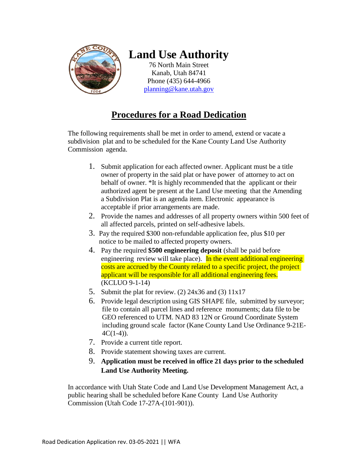

# **Land Use Authority**

76 North Main Street Kanab, Utah 84741 Phone (435) 644-4966 [planning@kane.utah.gov](mailto:planning@kane.utah.gov)

## **Procedures for a Road Dedication**

The following requirements shall be met in order to amend, extend or vacate a subdivision plat and to be scheduled for the Kane County Land Use Authority Commission agenda.

- 1. Submit application for each affected owner. Applicant must be a title owner of property in the said plat or have power of attorney to act on behalf of owner. \*It is highly recommended that the applicant or their authorized agent be present at the Land Use meeting that the Amending a Subdivision Plat is an agenda item. Electronic appearance is acceptable if prior arrangements are made.
- 2. Provide the names and addresses of all property owners within 500 feet of all affected parcels, printed on self-adhesive labels.
- 3. Pay the required \$300 non-refundable application fee, plus \$10 per notice to be mailed to affected property owners.
- 4. Pay the required **\$500 engineering deposit** (shall be paid before engineering review will take place). In the event additional engineering costs are accrued by the County related to a specific project, the project applicant will be responsible for all additional engineering fees. (KCLUO 9-1-14)
- 5. Submit the plat for review. (2)  $24x36$  and (3)  $11x17$
- 6. Provide legal description using GIS SHAPE file, submitted by surveyor; file to contain all parcel lines and reference monuments; data file to be GEO referenced to UTM. NAD 83 12N or Ground Coordinate System including ground scale factor (Kane County Land Use Ordinance 9-21E- $4C(1-4)$ ).
- 7. Provide a current title report.
- 8. Provide statement showing taxes are current.
- 9. **Application must be received in office 21 days prior to the scheduled Land Use Authority Meeting.**

In accordance with Utah State Code and Land Use Development Management Act, a public hearing shall be scheduled before Kane County Land Use Authority Commission (Utah Code 17-27A-(101-901)).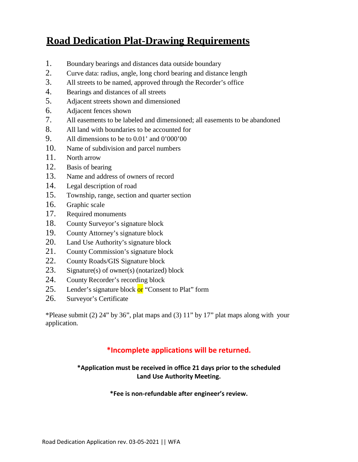# **Road Dedication Plat-Drawing Requirements**

- 1. Boundary bearings and distances data outside boundary
- 2. Curve data: radius, angle, long chord bearing and distance length
- 3. All streets to be named, approved through the Recorder's office
- 4. Bearings and distances of all streets
- 5. Adjacent streets shown and dimensioned
- 6. Adjacent fences shown
- 7. All easements to be labeled and dimensioned; all easements to be abandoned
- 8. All land with boundaries to be accounted for
- 9. All dimensions to be to 0.01' and 0'000'00
- 10. Name of subdivision and parcel numbers
- 11. North arrow
- 12. Basis of bearing
- 13. Name and address of owners of record
- 14. Legal description of road
- 15. Township, range, section and quarter section
- 16. Graphic scale
- 17. Required monuments
- 18. County Surveyor's signature block
- 19. County Attorney's signature block
- 20. Land Use Authority's signature block
- 21. County Commission's signature block
- 22. County Roads/GIS Signature block
- 23. Signature(s) of owner(s) (notarized) block
- 24. County Recorder's recording block
- 25. Lender's signature block or "Consent to Plat" form
- 26. Surveyor's Certificate

\*Please submit (2) 24" by 36", plat maps and (3) 11" by 17" plat maps along with your application.

### **\*Incomplete applications will be returned.**

**\*Application must be received in office 21 days prior to the scheduled Land Use Authority Meeting.**

**\*Fee is non-refundable after engineer's review.**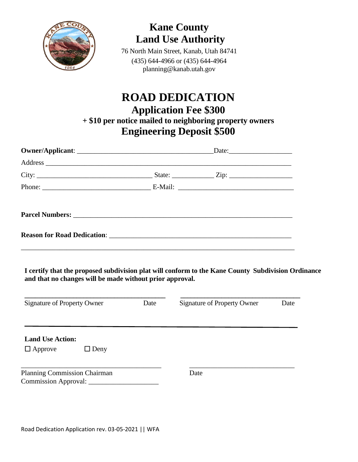

# **Kane County Land Use Authority**

76 North Main Street, Kanab, Utah 84741 (435) 644-4966 or (435) 644-4964 planning@kanab.utah.gov

# **ROAD DEDICATION Application Fee \$300 + \$10 per notice mailed to neighboring property owners Engineering Deposit \$500**

|                                                                                                                                                                | Date:                              |      |
|----------------------------------------------------------------------------------------------------------------------------------------------------------------|------------------------------------|------|
|                                                                                                                                                                |                                    |      |
|                                                                                                                                                                |                                    |      |
|                                                                                                                                                                |                                    |      |
|                                                                                                                                                                |                                    |      |
|                                                                                                                                                                |                                    |      |
|                                                                                                                                                                |                                    |      |
| I certify that the proposed subdivision plat will conform to the Kane County Subdivision Ordinance<br>and that no changes will be made without prior approval. |                                    |      |
| Signature of Property Owner Date                                                                                                                               | <b>Signature of Property Owner</b> | Date |
| <b>Land Use Action:</b>                                                                                                                                        |                                    |      |
| $\Box$ Approve<br>$\Box$ Deny                                                                                                                                  |                                    |      |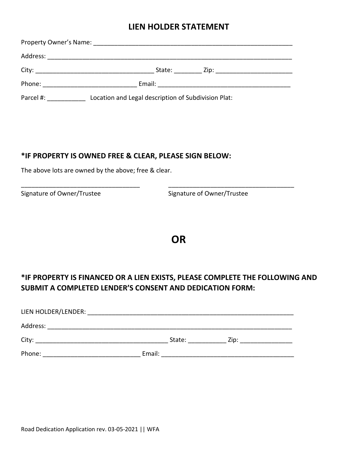### **LIEN HOLDER STATEMENT**

| Phone: The contract of the contract of the contract of the contract of the contract of the contract of the contract of the contract of the contract of the contract of the contract of the contract of the contract of the con |                                                     |  |
|--------------------------------------------------------------------------------------------------------------------------------------------------------------------------------------------------------------------------------|-----------------------------------------------------|--|
| Parcel #:                                                                                                                                                                                                                      | Location and Legal description of Subdivision Plat: |  |

\_\_\_\_\_\_\_\_\_\_\_\_\_\_\_\_\_\_\_\_\_\_\_\_\_\_\_\_\_\_\_\_\_\_ \_\_\_\_\_\_\_\_\_\_\_\_\_\_\_\_\_\_\_\_\_\_\_\_\_\_\_\_\_\_\_\_\_\_\_\_

### **\*IF PROPERTY IS OWNED FREE & CLEAR, PLEASE SIGN BELOW:**

The above lots are owned by the above; free & clear.

Signature of Owner/Trustee Signature of Owner/Trustee

## **OR**

## **\*IF PROPERTY IS FINANCED OR A LIEN EXISTS, PLEASE COMPLETE THE FOLLOWING AND SUBMIT A COMPLETED LENDER'S CONSENT AND DEDICATION FORM:**

| LIEN HOLDER/LENDER: |        |        |      |  |
|---------------------|--------|--------|------|--|
| Address:            |        |        |      |  |
| City:               |        | State: | Zip: |  |
| Phone:              | Email: |        |      |  |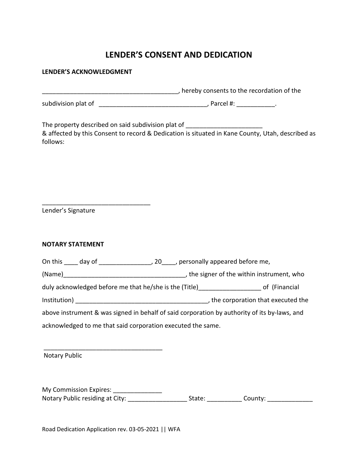## **LENDER'S CONSENT AND DEDICATION**

### **LENDER'S ACKNOWLEDGMENT**

\_\_\_\_\_\_\_\_\_\_\_\_\_\_\_\_\_\_\_\_\_\_\_\_\_\_\_\_\_\_\_\_\_\_\_\_\_\_\_, hereby consents to the recordation of the

subdivision plat of \_\_\_\_\_\_\_\_\_\_\_\_\_\_\_\_\_\_\_\_\_\_\_\_\_\_\_\_\_\_\_, Parcel #: \_\_\_\_\_\_\_\_\_\_\_.

The property described on said subdivision plat of & affected by this Consent to record & Dedication is situated in Kane County, Utah, described as follows:

Lender's Signature

\_\_\_\_\_\_\_\_\_\_\_\_\_\_\_\_\_\_\_\_\_\_\_\_\_\_\_\_\_\_\_

#### **NOTARY STATEMENT**

On this \_\_\_\_ day of \_\_\_\_\_\_\_\_\_\_\_\_\_\_\_, 20\_\_\_\_, personally appeared before me,

(Name)\_\_\_\_\_\_\_\_\_\_\_\_\_\_\_\_\_\_\_\_\_\_\_\_\_\_\_\_\_\_\_\_\_\_\_, the signer of the within instrument, who

duly acknowledged before me that he/she is the (Title)\_\_\_\_\_\_\_\_\_\_\_\_\_\_\_\_\_\_\_\_\_\_\_\_ of (Financial

Institution) \_\_\_\_\_\_\_\_\_\_\_\_\_\_\_\_\_\_\_\_\_\_\_\_\_\_\_\_\_\_\_\_\_\_\_\_\_\_, the corporation that executed the

above instrument & was signed in behalf of said corporation by authority of its by-laws, and acknowledged to me that said corporation executed the same.

Notary Public

My Commission Expires: \_\_\_\_\_\_\_\_\_\_\_\_\_\_\_\_ Notary Public residing at City: \_\_\_\_\_\_\_\_\_\_\_\_\_\_\_\_\_\_\_\_\_\_\_State: \_\_\_\_\_\_\_\_\_\_\_\_\_\_County: \_\_\_\_\_\_\_\_\_\_\_\_\_\_\_\_

Road Dedication Application rev. 03-05-2021 || WFA

\_\_\_\_\_\_\_\_\_\_\_\_\_\_\_\_\_\_\_\_\_\_\_\_\_\_\_\_\_\_\_\_\_\_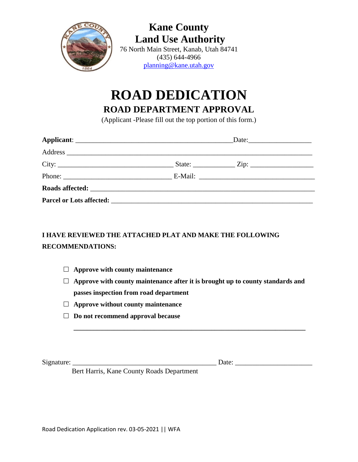

**Kane County Land Use Authority** 76 North Main Street, Kanab, Utah 84741 (435) 644-4966 [planning@kane.utah.gov](mailto:planning@kane.utah.gov)

# **ROAD DEDICATION**

**ROAD DEPARTMENT APPROVAL**

(Applicant -Please fill out the top portion of this form.)

|                                                                                                                                                                                                                                | Date: |  |
|--------------------------------------------------------------------------------------------------------------------------------------------------------------------------------------------------------------------------------|-------|--|
|                                                                                                                                                                                                                                |       |  |
|                                                                                                                                                                                                                                |       |  |
|                                                                                                                                                                                                                                |       |  |
|                                                                                                                                                                                                                                |       |  |
| Parcel or Lots affected: Note and Separate and Separate and Separate and Separate and Separate and Separate and Separate and Separate and Separate and Separate and Separate and Separate and Separate and Separate and Separa |       |  |

## **I HAVE REVIEWED THE ATTACHED PLAT AND MAKE THE FOLLOWING RECOMMENDATIONS:**

- **Approve with county maintenance**
- **Approve with county maintenance after it is brought up to county standards and passes inspection from road department**

**\_\_\_\_\_\_\_\_\_\_\_\_\_\_\_\_\_\_\_\_\_\_\_\_\_\_\_\_\_\_\_\_\_\_\_\_\_\_\_\_\_\_\_\_\_\_\_\_\_\_\_\_\_\_\_\_\_\_\_\_\_\_\_\_\_\_\_\_\_**

- **Approve without county maintenance**
- **Do not recommend approval because**

Signature: \_\_\_\_\_\_\_\_\_\_\_\_\_\_\_\_\_\_\_\_\_\_\_\_\_\_\_\_\_\_\_\_\_\_\_\_\_\_\_\_\_ Date: \_\_\_\_\_\_\_\_\_\_\_\_\_\_\_\_\_\_\_\_\_\_

Bert Harris, Kane County Roads Department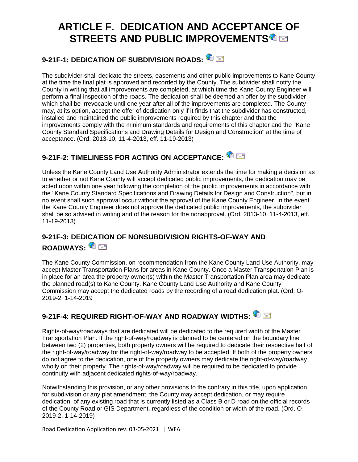# **ARTICLE F. DEDICATION AND ACCEPTAN[CE](https://www.sterlingcodifiers.com/codebook/getBookData.php?section_id=1317844&keywords=%22road%20dedication%22#84043) OF STREETS AND PUBLIC IMPROVEMENTS**

# **9-21F-1: DEDICATION OF SUBDIVISION ROADS:**

The subdivider shall dedicate the streets, easements and other public improvements to Kane County at the time the final plat is approved and recorded by the County. The subdivider shall notify the County in writing that all improvements are completed, at which time the Kane County Engineer will perform a final inspection of the roads. The dedication shall be deemed an offer by the subdivider which shall be irrevocable until one year after all of the improvements are completed. The County may, at its option, accept the offer of dedication only if it finds that the subdivider has constructed, installed and maintained the public improvements required by this chapter and that the improvements comply with the minimum standards and requirements of this chapter and the "Kane County Standard Specifications and Drawing Details for Design and Construction" at the time of acceptance. (Ord. 2013-10, 11-4-2013, eff. 11-19-2013)

# **9-21F-2: TIMELINESS FOR ACTING ON ACCEPTANCE:**

Unless the Kane County Land Use Authority Administrator extends the time for making a decision as to whether or not Kane County will accept dedicated public improvements, the dedication may be acted upon within one year following the completion of the public improvements in accordance with the "Kane County Standard Specifications and Drawing Details for Design and Construction", but in no event shall such approval occur without the approval of the Kane County Engineer. In the event the Kane County Engineer does not approve the dedicated public improvements, the subdivider shall be so advised in writing and of the reason for the nonapproval. (Ord. 2013-10, 11-4-2013, eff. 11-19-2013)

### **9-21F-3: DED[ICA](https://www.sterlingcodifiers.com/codebook/getBookData.php?section_id=1317844&keywords=%22road%20dedication%22#1317844)TION OF NONSUBDIVISION RIGHTS-OF-WAY AND ROADWAYS:**

The Kane County Commission, on recommendation from the Kane County Land Use Authority, may accept Master Transportation Plans for areas in Kane County. Once a Master Transportation Plan is in place for an area the property owner(s) within the Master Transportation Plan area may dedicate the planned road(s) to Kane County. Kane County Land Use Authority and Kane County Commission may accept the dedicated roads by the recording of a road dedication plat. (Ord. O-2019-2, 1-14-2019

### **9-21F-4: REQUIRED RIGHT-OF-WAY AND ROADWAY WIDTHS:**

Rights-of-way/roadways that are dedicated will be dedicated to the required width of the Master Transportation Plan. If the right-of-way/roadway is planned to be centered on the boundary line between two (2) properties, both property owners will be required to dedicate their respective half of the right-of-way/roadway for the right-of-way/roadway to be accepted. If both of the property owners do not agree to the dedication, one of the property owners may dedicate the right-of-way/roadway wholly on their property. The rights-of-way/roadway will be required to be dedicated to provide continuity with adjacent dedicated rights-of-way/roadway.

Notwithstanding this provision, or any other provisions to the contrary in this title, upon application for subdivision or any plat amendment, the County may accept dedication, or may require dedication, of any existing road that is currently listed as a Class B or D road on the official records of the County Road or GIS Department, regardless of the condition or width of the road. (Ord. O-2019-2, 1-14-2019)

Road Dedication Application rev. 03-05-2021 || WFA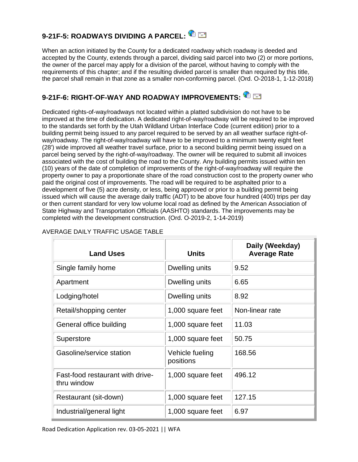# **9-21F-5: ROADWAYS DIVIDING A PARCEL:**

When an action initiated by the County for a dedicated roadway which roadway is deeded and accepted by the County, extends through a parcel, dividing said parcel into two (2) or more portions, the owner of the parcel may apply for a division of the parcel, without having to comply with the requirements of this chapter; and if the resulting divided parcel is smaller than required by this title, the parcel shall remain in that zone as a smaller non-conforming parcel. (Ord. O-2018-1, 1-12-2018)

## **9-21F-6: RIGHT-OF-WAY AND ROADWAY IMPROVEMENTS:**

Dedicated rights-of-way/roadways not located within a platted subdivision do not have to be improved at the time of dedication. A dedicated right-of-way/roadway will be required to be improved to the standards set forth by the Utah Wildland Urban Interface Code (current edition) prior to a building permit being issued to any parcel required to be served by an all weather surface right-ofway/roadway. The right-of-way/roadway will have to be improved to a minimum twenty eight feet (28') wide improved all weather travel surface, prior to a second building permit being issued on a parcel being served by the right-of-way/roadway. The owner will be required to submit all invoices associated with the cost of building the road to the County. Any building permits issued within ten (10) years of the date of completion of improvements of the right-of-way/roadway will require the property owner to pay a proportionate share of the road construction cost to the property owner who paid the original cost of improvements. The road will be required to be asphalted prior to a development of five (5) acre density, or less, being approved or prior to a building permit being issued which will cause the average daily traffic (ADT) to be above four hundred (400) trips per day or then current standard for very low volume local road as defined by the American Association of State Highway and Transportation Officials (AASHTO) standards. The improvements may be completed with the development construction. (Ord. O-2019-2, 1-14-2019)

| <b>Land Uses</b>                                | <b>Units</b>                 | Daily (Weekday)<br><b>Average Rate</b> |
|-------------------------------------------------|------------------------------|----------------------------------------|
| Single family home                              | Dwelling units               | 9.52                                   |
| Apartment                                       | Dwelling units               | 6.65                                   |
| Lodging/hotel                                   | Dwelling units               | 8.92                                   |
| Retail/shopping center                          | 1,000 square feet            | Non-linear rate                        |
| General office building                         | 1,000 square feet            | 11.03                                  |
| Superstore                                      | 1,000 square feet            | 50.75                                  |
| Gasoline/service station                        | Vehicle fueling<br>positions | 168.56                                 |
| Fast-food restaurant with drive-<br>thru window | 1,000 square feet            | 496.12                                 |
| Restaurant (sit-down)                           | 1,000 square feet            | 127.15                                 |
| Industrial/general light                        | 1,000 square feet            | 6.97                                   |

#### AVERAGE DAILY TRAFFIC USAGE TABLE